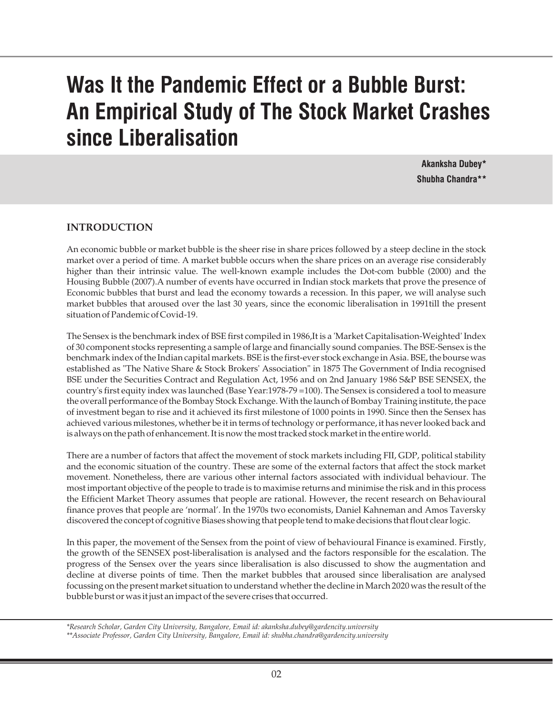# **Was It the Pandemic Effect or a Bubble Burst: An Empirical Study of The Stock Market Crashes since Liberalisation**

**Akanksha Dubey\* Shubha Chandra\*\***

## **INTRODUCTION**

An economic bubble or market bubble is the sheer rise in share prices followed by a steep decline in the stock market over a period of time. A market bubble occurs when the share prices on an average rise considerably higher than their intrinsic value. The well-known example includes the Dot-com bubble (2000) and the Housing Bubble (2007).A number of events have occurred in Indian stock markets that prove the presence of Economic bubbles that burst and lead the economy towards a recession. In this paper, we will analyse such market bubbles that aroused over the last 30 years, since the economic liberalisation in 1991till the present situation of Pandemic of Covid-19.

The Sensex is the benchmark index of BSE first compiled in 1986,It is a 'Market Capitalisation-Weighted' Index of 30 component stocks representing a sample of large and financially sound companies. The BSE-Sensex is the benchmark index of the Indian capital markets. BSE is the first-ever stock exchange in Asia. BSE, the bourse was established as "The Native Share & Stock Brokers' Association" in 1875 The Government of India recognised BSE under the Securities Contract and Regulation Act, 1956 and on 2nd January 1986 S&P BSE SENSEX, the country's first equity index was launched (Base Year:1978-79 =100). The Sensex is considered a tool to measure the overall performance of the Bombay Stock Exchange. With the launch of Bombay Training institute, the pace of investment began to rise and it achieved its first milestone of 1000 points in 1990. Since then the Sensex has achieved various milestones, whether be it in terms of technology or performance, it has never looked back and is always on the path of enhancement. It is now the most tracked stock market in the entire world.

There are a number of factors that affect the movement of stock markets including FII, GDP, political stability and the economic situation of the country. These are some of the external factors that affect the stock market movement. Nonetheless, there are various other internal factors associated with individual behaviour. The most important objective of the people to trade is to maximise returns and minimise the risk and in this process the Efficient Market Theory assumes that people are rational. However, the recent research on Behavioural finance proves that people are 'normal'. In the 1970s two economists, Daniel Kahneman and Amos Taversky discovered the concept of cognitive Biases showing that people tend to make decisions that flout clear logic.

In this paper, the movement of the Sensex from the point of view of behavioural Finance is examined. Firstly, the growth of the SENSEX post-liberalisation is analysed and the factors responsible for the escalation. The progress of the Sensex over the years since liberalisation is also discussed to show the augmentation and decline at diverse points of time. Then the market bubbles that aroused since liberalisation are analysed focussing on the present market situation to understand whether the decline in March 2020 was the result of the bubble burst or was it just an impact of the severe crises that occurred.

*\*Research Scholar, Garden City University, Bangalore, Email id: akanksha.dubey@gardencity.university \*\*Associate Professor, Garden City University, Bangalore, Email id: shubha.chandra@gardencity.university*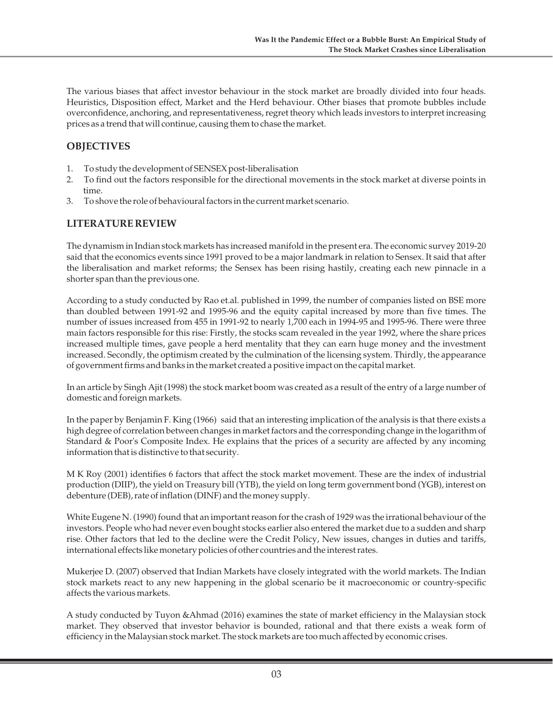The various biases that affect investor behaviour in the stock market are broadly divided into four heads. Heuristics, Disposition effect, Market and the Herd behaviour. Other biases that promote bubbles include overconfidence, anchoring, and representativeness, regret theory which leads investors to interpret increasing prices as a trend that will continue, causing them to chase the market.

## **OBJECTIVES**

- 1. To study the development of SENSEX post-liberalisation
- 2. To find out the factors responsible for the directional movements in the stock market at diverse points in time.
- 3. To shove the role of behavioural factors in the current market scenario.

### **LITERATURE REVIEW**

The dynamism in Indian stock markets has increased manifold in the present era. The economic survey 2019-20 said that the economics events since 1991 proved to be a major landmark in relation to Sensex. It said that after the liberalisation and market reforms; the Sensex has been rising hastily, creating each new pinnacle in a shorter span than the previous one.

According to a study conducted by Rao et.al. published in 1999, the number of companies listed on BSE more than doubled between 1991-92 and 1995-96 and the equity capital increased by more than five times. The number of issues increased from 455 in 1991-92 to nearly 1,700 each in 1994-95 and 1995-96. There were three main factors responsible for this rise: Firstly, the stocks scam revealed in the year 1992, where the share prices increased multiple times, gave people a herd mentality that they can earn huge money and the investment increased. Secondly, the optimism created by the culmination of the licensing system. Thirdly, the appearance of government firms and banks in the market created a positive impact on the capital market.

In an article by Singh Ajit (1998) the stock market boom was created as a result of the entry of a large number of domestic and foreign markets.

In the paper by Benjamin F. King (1966) said that an interesting implication of the analysis is that there exists a high degree of correlation between changes in market factors and the corresponding change in the logarithm of Standard & Poor's Composite Index. He explains that the prices of a security are affected by any incoming information that is distinctive to that security.

M K Roy (2001) identifies 6 factors that affect the stock market movement. These are the index of industrial production (DIIP), the yield on Treasury bill (YTB), the yield on long term government bond (YGB), interest on debenture (DEB), rate of inflation (DINF) and the money supply.

White Eugene N. (1990) found that an important reason for the crash of 1929 was the irrational behaviour of the investors. People who had never even bought stocks earlier also entered the market due to a sudden and sharp rise. Other factors that led to the decline were the Credit Policy, New issues, changes in duties and tariffs, international effects like monetary policies of other countries and the interest rates.

Mukerjee D. (2007) observed that Indian Markets have closely integrated with the world markets. The Indian stock markets react to any new happening in the global scenario be it macroeconomic or country-specific affects the various markets.

A study conducted by Tuyon &Ahmad (2016) examines the state of market efficiency in the Malaysian stock market. They observed that investor behavior is bounded, rational and that there exists a weak form of efficiency in the Malaysian stock market. The stock markets are too much affected by economic crises.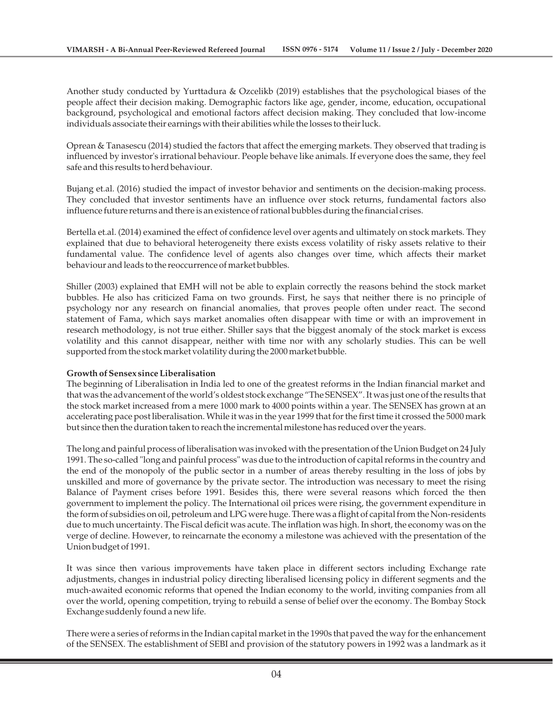Another study conducted by Yurttadura & Ozcelikb (2019) establishes that the psychological biases of the people affect their decision making. Demographic factors like age, gender, income, education, occupational background, psychological and emotional factors affect decision making. They concluded that low-income individuals associate their earnings with their abilities while the losses to their luck.

Oprean & Tanasescu (2014) studied the factors that affect the emerging markets. They observed that trading is influenced by investor's irrational behaviour. People behave like animals. If everyone does the same, they feel safe and this results to herd behaviour.

Bujang et.al. (2016) studied the impact of investor behavior and sentiments on the decision-making process. They concluded that investor sentiments have an influence over stock returns, fundamental factors also influence future returns and there is an existence of rational bubbles during the financial crises.

Bertella et.al. (2014) examined the effect of confidence level over agents and ultimately on stock markets. They explained that due to behavioral heterogeneity there exists excess volatility of risky assets relative to their fundamental value. The confidence level of agents also changes over time, which affects their market behaviour and leads to the reoccurrence of market bubbles.

Shiller (2003) explained that EMH will not be able to explain correctly the reasons behind the stock market bubbles. He also has criticized Fama on two grounds. First, he says that neither there is no principle of psychology nor any research on financial anomalies, that proves people often under react. The second statement of Fama, which says market anomalies often disappear with time or with an improvement in research methodology, is not true either. Shiller says that the biggest anomaly of the stock market is excess volatility and this cannot disappear, neither with time nor with any scholarly studies. This can be well supported from the stock market volatility during the 2000 market bubble.

#### **Growth of Sensex since Liberalisation**

The beginning of Liberalisation in India led to one of the greatest reforms in the Indian financial market and that was the advancement of the world's oldest stock exchange "The SENSEX". It was just one of the results that the stock market increased from a mere 1000 mark to 4000 points within a year. The SENSEX has grown at an accelerating pace post liberalisation. While it was in the year 1999 that for the first time it crossed the 5000 mark but since then the duration taken to reach the incremental milestone has reduced over the years.

The long and painful process of liberalisation was invoked with the presentation of the Union Budget on 24 July 1991. The so-called "long and painful process" was due to the introduction of capital reforms in the country and the end of the monopoly of the public sector in a number of areas thereby resulting in the loss of jobs by unskilled and more of governance by the private sector. The introduction was necessary to meet the rising Balance of Payment crises before 1991. Besides this, there were several reasons which forced the then government to implement the policy. The International oil prices were rising, the government expenditure in the form of subsidies on oil, petroleum and LPG were huge. There was a flight of capital from the Non-residents due to much uncertainty. The Fiscal deficit was acute. The inflation was high. In short, the economy was on the verge of decline. However, to reincarnate the economy a milestone was achieved with the presentation of the Union budget of 1991.

It was since then various improvements have taken place in different sectors including Exchange rate adjustments, changes in industrial policy directing liberalised licensing policy in different segments and the much-awaited economic reforms that opened the Indian economy to the world, inviting companies from all over the world, opening competition, trying to rebuild a sense of belief over the economy. The Bombay Stock Exchange suddenly found a new life.

There were a series of reforms in the Indian capital market in the 1990s that paved the way for the enhancement of the SENSEX. The establishment of SEBI and provision of the statutory powers in 1992 was a landmark as it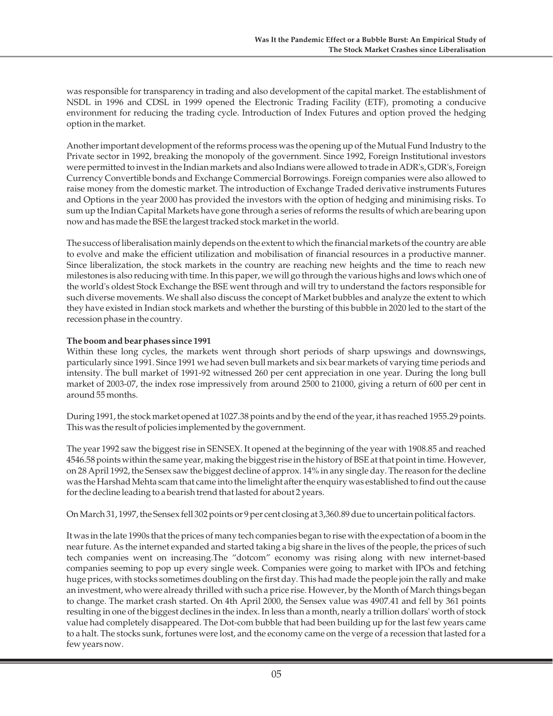was responsible for transparency in trading and also development of the capital market. The establishment of NSDL in 1996 and CDSL in 1999 opened the Electronic Trading Facility (ETF), promoting a conducive environment for reducing the trading cycle. Introduction of Index Futures and option proved the hedging option in the market.

Another important development of the reforms process was the opening up of the Mutual Fund Industry to the Private sector in 1992, breaking the monopoly of the government. Since 1992, Foreign Institutional investors were permitted to invest in the Indian markets and also Indians were allowed to trade in ADR's, GDR's, Foreign Currency Convertible bonds and Exchange Commercial Borrowings. Foreign companies were also allowed to raise money from the domestic market. The introduction of Exchange Traded derivative instruments Futures and Options in the year 2000 has provided the investors with the option of hedging and minimising risks. To sum up the Indian Capital Markets have gone through a series of reforms the results of which are bearing upon now and has made the BSE the largest tracked stock market in the world.

The success of liberalisation mainly depends on the extent to which the financial markets of the country are able to evolve and make the efficient utilization and mobilisation of financial resources in a productive manner. Since liberalization, the stock markets in the country are reaching new heights and the time to reach new milestones is also reducing with time. In this paper, we will go through the various highs and lows which one of the world's oldest Stock Exchange the BSE went through and will try to understand the factors responsible for such diverse movements. We shall also discuss the concept of Market bubbles and analyze the extent to which they have existed in Indian stock markets and whether the bursting of this bubble in 2020 led to the start of the recession phase in the country.

#### **The boom and bear phases since 1991**

Within these long cycles, the markets went through short periods of sharp upswings and downswings, particularly since 1991. Since 1991 we had seven bull markets and six bear markets of varying time periods and intensity. The bull market of 1991-92 witnessed 260 per cent appreciation in one year. During the long bull market of 2003-07, the index rose impressively from around 2500 to 21000, giving a return of 600 per cent in around 55 months.

During 1991, the stock market opened at 1027.38 points and by the end of the year, it has reached 1955.29 points. This was the result of policies implemented by the government.

The year 1992 saw the biggest rise in SENSEX. It opened at the beginning of the year with 1908.85 and reached 4546.58 points within the same year, making the biggest rise in the history of BSE at that point in time. However, on 28 April 1992, the Sensex saw the biggest decline of approx. 14% in any single day. The reason for the decline was the Harshad Mehta scam that came into the limelight after the enquiry was established to find out the cause for the decline leading to a bearish trend that lasted for about 2 years.

On March 31, 1997, the Sensex fell 302 points or 9 per cent closing at 3,360.89 due to uncertain political factors.

It was in the late 1990s that the prices of many tech companies began to rise with the expectation of a boom in the near future. As the internet expanded and started taking a big share in the lives of the people, the prices of such tech companies went on increasing.The "dotcom" economy was rising along with new internet-based companies seeming to pop up every single week. Companies were going to market with IPOs and fetching huge prices, with stocks sometimes doubling on the first day. This had made the people join the rally and make an investment, who were already thrilled with such a price rise. However, by the Month of March things began to change. The market crash started. On 4th April 2000, the Sensex value was 4907.41 and fell by 361 points resulting in one of the biggest declines in the index. In less than a month, nearly a trillion dollars' worth of stock value had completely disappeared. The Dot-com bubble that had been building up for the last few years came to a halt. The stocks sunk, fortunes were lost, and the economy came on the verge of a recession that lasted for a few years now.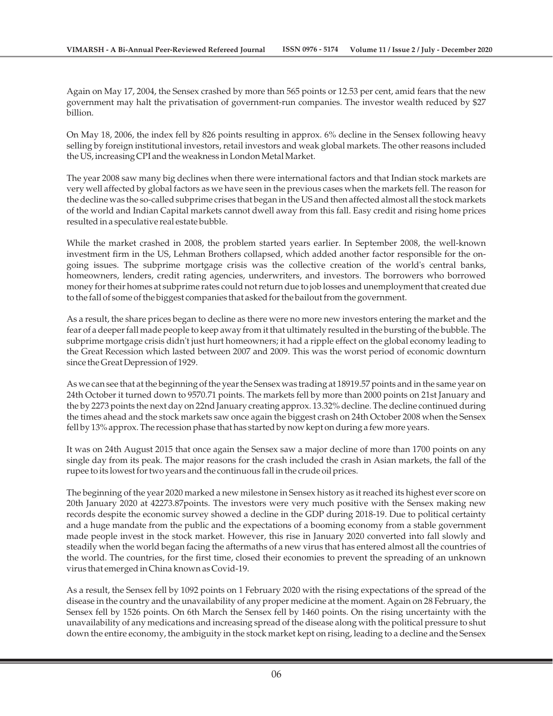Again on May 17, 2004, the Sensex crashed by more than 565 points or 12.53 per cent, amid fears that the new government may halt the privatisation of government-run companies. The investor wealth reduced by \$27 billion.

On May 18, 2006, the index fell by 826 points resulting in approx. 6% decline in the Sensex following heavy selling by foreign institutional investors, retail investors and weak global markets. The other reasons included the US, increasing CPI and the weakness in London Metal Market.

The year 2008 saw many big declines when there were international factors and that Indian stock markets are very well affected by global factors as we have seen in the previous cases when the markets fell. The reason for the decline was the so-called subprime crises that began in the US and then affected almost all the stock markets of the world and Indian Capital markets cannot dwell away from this fall. Easy credit and rising home prices resulted in a speculative real estate bubble.

While the market crashed in 2008, the problem started years earlier. In September 2008, the well-known investment firm in the US, Lehman Brothers collapsed, which added another factor responsible for the ongoing issues. The subprime mortgage crisis was the collective creation of the world's central banks, homeowners, lenders, credit rating agencies, underwriters, and investors. The borrowers who borrowed money for their homes at subprime rates could not return due to job losses and unemployment that created due to the fall of some of the biggest companies that asked for the bailout from the government.

As a result, the share prices began to decline as there were no more new investors entering the market and the fear of a deeper fall made people to keep away from it that ultimately resulted in the bursting of the bubble. The subprime mortgage crisis didn't just hurt homeowners; it had a ripple effect on the global economy leading to the Great Recession which lasted between 2007 and 2009. This was the worst period of economic downturn since the Great Depression of 1929.

As we can see that at the beginning of the year the Sensex was trading at 18919.57 points and in the same year on 24th October it turned down to 9570.71 points. The markets fell by more than 2000 points on 21st January and the by 2273 points the next day on 22nd January creating approx. 13.32% decline. The decline continued during the times ahead and the stock markets saw once again the biggest crash on 24th October 2008 when the Sensex fell by 13% approx. The recession phase that has started by now kept on during a few more years.

It was on 24th August 2015 that once again the Sensex saw a major decline of more than 1700 points on any single day from its peak. The major reasons for the crash included the crash in Asian markets, the fall of the rupee to its lowest for two years and the continuous fall in the crude oil prices.

The beginning of the year 2020 marked a new milestone in Sensex history as it reached its highest ever score on 20th January 2020 at 42273.87points. The investors were very much positive with the Sensex making new records despite the economic survey showed a decline in the GDP during 2018-19. Due to political certainty and a huge mandate from the public and the expectations of a booming economy from a stable government made people invest in the stock market. However, this rise in January 2020 converted into fall slowly and steadily when the world began facing the aftermaths of a new virus that has entered almost all the countries of the world. The countries, for the first time, closed their economies to prevent the spreading of an unknown virus that emerged in China known as Covid-19.

As a result, the Sensex fell by 1092 points on 1 February 2020 with the rising expectations of the spread of the disease in the country and the unavailability of any proper medicine at the moment. Again on 28 February, the Sensex fell by 1526 points. On 6th March the Sensex fell by 1460 points. On the rising uncertainty with the unavailability of any medications and increasing spread of the disease along with the political pressure to shut down the entire economy, the ambiguity in the stock market kept on rising, leading to a decline and the Sensex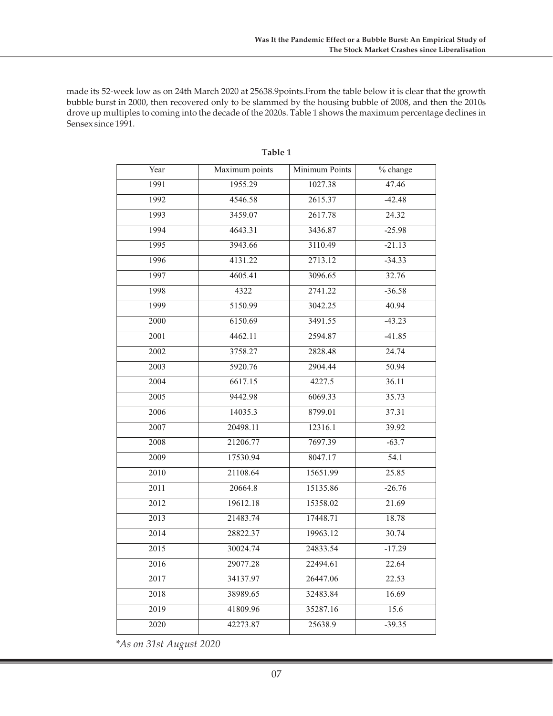made its 52-week low as on 24th March 2020 at 25638.9points.From the table below it is clear that the growth bubble burst in 2000, then recovered only to be slammed by the housing bubble of 2008, and then the 2010s drove up multiples to coming into the decade of the 2020s. Table 1 shows the maximum percentage declines in Sensex since 1991.

| Year | Maximum points | Minimum Points | % change |
|------|----------------|----------------|----------|
| 1991 | 1955.29        | 1027.38        | 47.46    |
| 1992 | 4546.58        | 2615.37        | $-42.48$ |
| 1993 | 3459.07        | 2617.78        | 24.32    |
| 1994 | 4643.31        | 3436.87        | $-25.98$ |
| 1995 | 3943.66        | 3110.49        | $-21.13$ |
| 1996 | 4131.22        | 2713.12        | $-34.33$ |
| 1997 | 4605.41        | 3096.65        | 32.76    |
| 1998 | 4322           | 2741.22        | $-36.58$ |
| 1999 | 5150.99        | 3042.25        | 40.94    |
| 2000 | 6150.69        | 3491.55        | $-43.23$ |
| 2001 | 4462.11        | 2594.87        | $-41.85$ |
| 2002 | 3758.27        | 2828.48        | 24.74    |
| 2003 | 5920.76        | 2904.44        | 50.94    |
| 2004 | 6617.15        | 4227.5         | 36.11    |
| 2005 | 9442.98        | 6069.33        | 35.73    |
| 2006 | 14035.3        | 8799.01        | 37.31    |
| 2007 | 20498.11       | 12316.1        | 39.92    |
| 2008 | 21206.77       | 7697.39        | $-63.7$  |
| 2009 | 17530.94       | 8047.17        | 54.1     |
| 2010 | 21108.64       | 15651.99       | 25.85    |
| 2011 | 20664.8        | 15135.86       | $-26.76$ |
| 2012 | 19612.18       | 15358.02       | 21.69    |
| 2013 | 21483.74       | 17448.71       | 18.78    |
| 2014 | 28822.37       | 19963.12       | 30.74    |
| 2015 | 30024.74       | 24833.54       | $-17.29$ |
| 2016 | 29077.28       | 22494.61       | 22.64    |
| 2017 | 34137.97       | 26447.06       | 22.53    |
| 2018 | 38989.65       | 32483.84       | 16.69    |
| 2019 | 41809.96       | 35287.16       | 15.6     |
| 2020 | 42273.87       | 25638.9        | $-39.35$ |

**Table 1**

*\*As on 31st August 2020*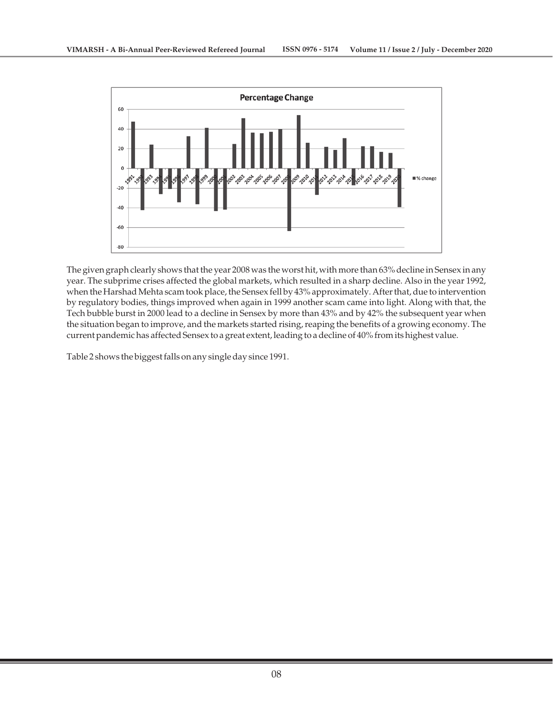

The given graph clearly shows that the year 2008 was the worst hit, with more than 63% decline in Sensex in any year. The subprime crises affected the global markets, which resulted in a sharp decline. Also in the year 1992, when the Harshad Mehta scam took place, the Sensex fell by 43% approximately. After that, due to intervention by regulatory bodies, things improved when again in 1999 another scam came into light. Along with that, the Tech bubble burst in 2000 lead to a decline in Sensex by more than 43% and by 42% the subsequent year when the situation began to improve, and the markets started rising, reaping the benefits of a growing economy. The current pandemic has affected Sensex to a great extent, leading to a decline of 40% from its highest value.

Table 2 shows the biggest falls on any single day since 1991.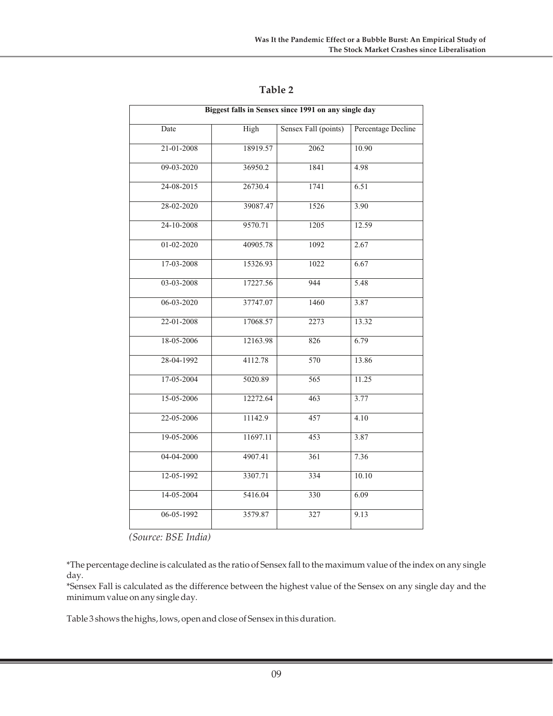| Biggest falls in Sensex since 1991 on any single day |          |                      |                    |  |  |  |  |
|------------------------------------------------------|----------|----------------------|--------------------|--|--|--|--|
| Date                                                 | High     | Sensex Fall (points) | Percentage Decline |  |  |  |  |
| 21-01-2008                                           | 18919.57 | 2062                 | 10.90              |  |  |  |  |
| 09-03-2020                                           | 36950.2  | 1841                 | 4.98               |  |  |  |  |
| 24-08-2015                                           | 26730.4  | 1741                 | 6.51               |  |  |  |  |
| 28-02-2020                                           | 39087.47 | 1526                 | 3.90               |  |  |  |  |
| 24-10-2008                                           | 9570.71  | 1205                 | 12.59              |  |  |  |  |
| 01-02-2020                                           | 40905.78 | 1092                 | 2.67               |  |  |  |  |
| 17-03-2008                                           | 15326.93 | 1022                 | 6.67               |  |  |  |  |
| 03-03-2008                                           | 17227.56 | 944                  | 5.48               |  |  |  |  |
| 06-03-2020                                           | 37747.07 | 1460                 | 3.87               |  |  |  |  |
| 22-01-2008                                           | 17068.57 | 2273                 | 13.32              |  |  |  |  |
| 18-05-2006                                           | 12163.98 | 826                  | 6.79               |  |  |  |  |
| 28-04-1992                                           | 4112.78  | 570                  | 13.86              |  |  |  |  |
| 17-05-2004                                           | 5020.89  | 565                  | 11.25              |  |  |  |  |
| 15-05-2006                                           | 12272.64 | 463                  | 3.77               |  |  |  |  |
| 22-05-2006                                           | 11142.9  | 457                  | 4.10               |  |  |  |  |
| 19-05-2006                                           | 11697.11 | 453                  | 3.87               |  |  |  |  |
| 04-04-2000                                           | 4907.41  | 361                  | 7.36               |  |  |  |  |
| 12-05-1992                                           | 3307.71  | 334                  | 10.10              |  |  |  |  |
| 14-05-2004                                           | 5416.04  | 330                  | 6.09               |  |  |  |  |
| 06-05-1992                                           | 3579.87  | 327                  | 9.13               |  |  |  |  |

# **Table 2**

*(Source: BSE India)*

\*The percentage decline is calculated as the ratio of Sensex fall to the maximum value of the index on any single day.

\*Sensex Fall is calculated as the difference between the highest value of the Sensex on any single day and the minimum value on any single day.

Table 3 shows the highs, lows, open and close of Sensex in this duration.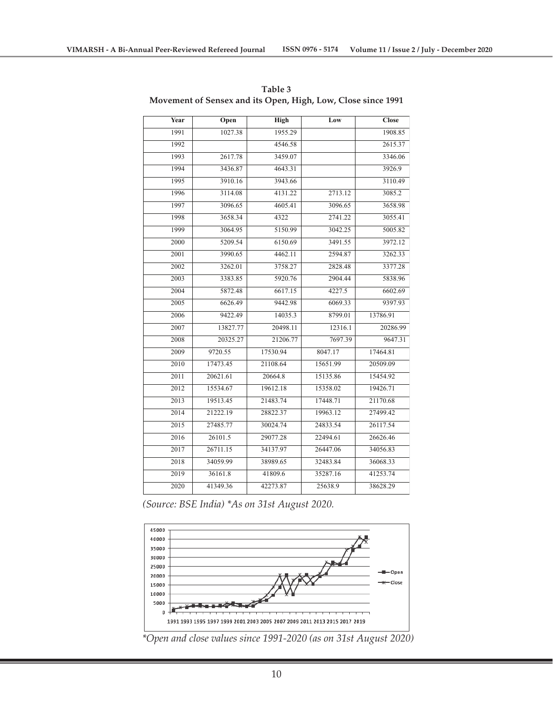| Year | Open     | High     | Low      | <b>Close</b> |
|------|----------|----------|----------|--------------|
| 1991 | 1027.38  | 1955.29  |          | 1908.85      |
| 1992 |          | 4546.58  |          | 2615.37      |
| 1993 | 2617.78  | 3459.07  |          | 3346.06      |
| 1994 | 3436.87  | 4643.31  |          | 3926.9       |
| 1995 | 3910.16  | 3943.66  |          | 3110.49      |
| 1996 | 3114.08  | 4131.22  | 2713.12  | 3085.2       |
| 1997 | 3096.65  | 4605.41  | 3096.65  | 3658.98      |
| 1998 | 3658.34  | 4322     | 2741.22  | 3055.41      |
| 1999 | 3064.95  | 5150.99  | 3042.25  | 5005.82      |
| 2000 | 5209.54  | 6150.69  | 3491.55  | 3972.12      |
| 2001 | 3990.65  | 4462.11  | 2594.87  | 3262.33      |
| 2002 | 3262.01  | 3758.27  | 2828.48  | 3377.28      |
| 2003 | 3383.85  | 5920.76  | 2904.44  | 5838.96      |
| 2004 | 5872.48  | 6617.15  | 4227.5   | 6602.69      |
| 2005 | 6626.49  | 9442.98  | 6069.33  | 9397.93      |
| 2006 | 9422.49  | 14035.3  | 8799.01  | 13786.91     |
| 2007 | 13827.77 | 20498.11 | 12316.1  | 20286.99     |
| 2008 | 20325.27 | 21206.77 | 7697.39  | 9647.31      |
| 2009 | 9720.55  | 17530.94 | 8047.17  | 17464.81     |
| 2010 | 17473.45 | 21108.64 | 15651.99 | 20509.09     |
| 2011 | 20621.61 | 20664.8  | 15135.86 | 15454.92     |
| 2012 | 15534.67 | 19612.18 | 15358.02 | 19426.71     |
| 2013 | 19513.45 | 21483.74 | 17448.71 | 21170.68     |
| 2014 | 21222.19 | 28822.37 | 19963.12 | 27499.42     |
| 2015 | 27485.77 | 30024.74 | 24833.54 | 26117.54     |
| 2016 | 26101.5  | 29077.28 | 22494.61 | 26626.46     |
| 2017 | 26711.15 | 34137.97 | 26447.06 | 34056.83     |
| 2018 | 34059.99 | 38989.65 | 32483.84 | 36068.33     |
| 2019 | 36161.8  | 41809.6  | 35287.16 | 41253.74     |
| 2020 | 41349.36 | 42273.87 | 25638.9  | 38628.29     |

**Table 3 Movement of Sensex and its Open, High, Low, Close since 1991**

*(Source: BSE India) \*As on 31st August 2020.*



*\*Open and close values since 1991-2020 (as on 31st August 2020)*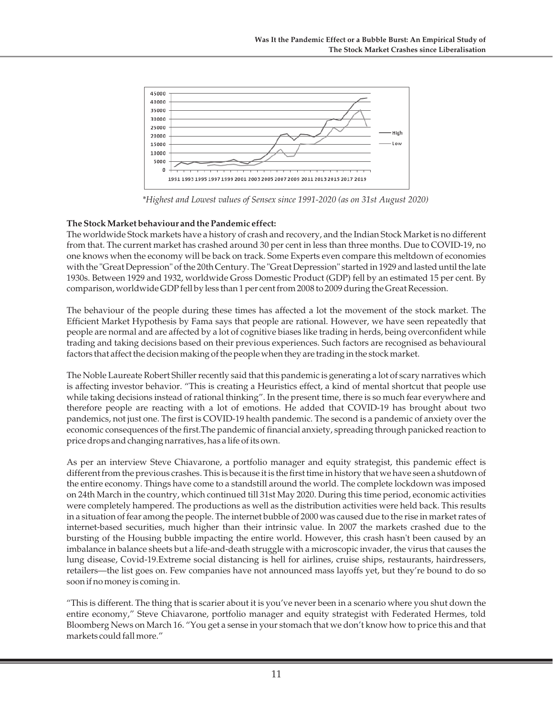

*\*Highest and Lowest values of Sensex since 1991-2020 (as on 31st August 2020)*

#### **The Stock Market behaviour and the Pandemic effect:**

The worldwide Stock markets have a history of crash and recovery, and the Indian Stock Market is no different from that. The current market has crashed around 30 per cent in less than three months. Due to COVID-19, no one knows when the economy will be back on track. Some Experts even compare this meltdown of economies with the "Great Depression" of the 20th Century. The "Great Depression" started in 1929 and lasted until the late 1930s. Between 1929 and 1932, worldwide Gross Domestic Product (GDP) fell by an estimated 15 per cent. By comparison, worldwide GDP fell by less than 1 per cent from 2008 to 2009 during the Great Recession.

The behaviour of the people during these times has affected a lot the movement of the stock market. The Efficient Market Hypothesis by Fama says that people are rational. However, we have seen repeatedly that people are normal and are affected by a lot of cognitive biases like trading in herds, being overconfident while trading and taking decisions based on their previous experiences. Such factors are recognised as behavioural factors that affect the decision making of the people when they are trading in the stock market.

The Noble Laureate Robert Shiller recently said that this pandemic is generating a lot of scary narratives which is affecting investor behavior. "This is creating a Heuristics effect, a kind of mental shortcut that people use while taking decisions instead of rational thinking". In the present time, there is so much fear everywhere and therefore people are reacting with a lot of emotions. He added that COVID-19 has brought about two pandemics, not just one. The first is COVID-19 health pandemic. The second is a pandemic of anxiety over the economic consequences of the first.The pandemic of financial anxiety, spreading through panicked reaction to price drops and changing narratives, has a life of its own.

As per an interview Steve Chiavarone, a portfolio manager and equity strategist, this pandemic effect is different from the previous crashes. This is because it is the first time in history that we have seen a shutdown of the entire economy. Things have come to a standstill around the world. The complete lockdown was imposed on 24th March in the country, which continued till 31st May 2020. During this time period, economic activities were completely hampered. The productions as well as the distribution activities were held back. This results in a situation of fear among the people. The internet bubble of 2000 was caused due to the rise in market rates of internet-based securities, much higher than their intrinsic value. In 2007 the markets crashed due to the bursting of the Housing bubble impacting the entire world. However, this crash hasn't been caused by an imbalance in balance sheets but a life-and-death struggle with a microscopic invader, the virus that causes the lung disease, Covid-19.Extreme social distancing is hell for airlines, cruise ships, restaurants, hairdressers, retailers—the list goes on. Few companies have not announced mass layoffs yet, but they're bound to do so soon if no money is coming in.

"This is different. The thing that is scarier about it is you've never been in a scenario where you shut down the entire economy," Steve Chiavarone, portfolio manager and equity strategist with Federated Hermes, told Bloomberg News on March 16. "You get a sense in your stomach that we don't know how to price this and that markets could fall more."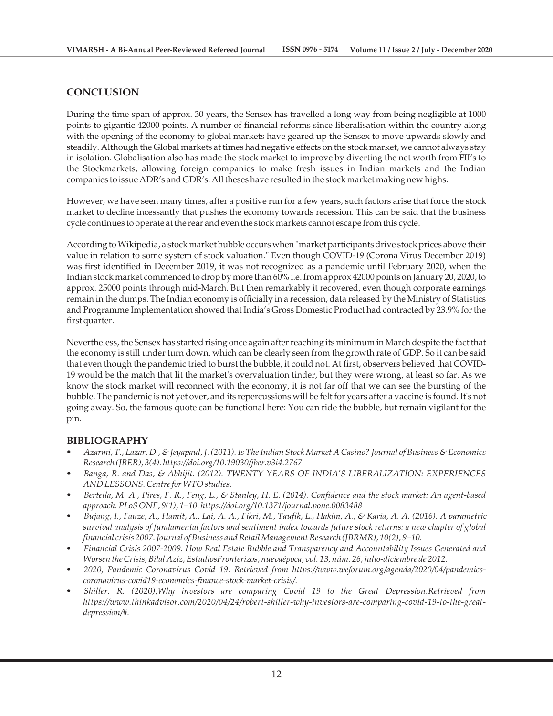# **CONCLUSION**

During the time span of approx. 30 years, the Sensex has travelled a long way from being negligible at 1000 points to gigantic 42000 points. A number of financial reforms since liberalisation within the country along with the opening of the economy to global markets have geared up the Sensex to move upwards slowly and steadily. Although the Global markets at times had negative effects on the stock market, we cannot always stay in isolation. Globalisation also has made the stock market to improve by diverting the net worth from FII's to the Stockmarkets, allowing foreign companies to make fresh issues in Indian markets and the Indian companies to issue ADR's and GDR's. All theses have resulted in the stock market making new highs.

However, we have seen many times, after a positive run for a few years, such factors arise that force the stock market to decline incessantly that pushes the economy towards recession. This can be said that the business cycle continues to operate at the rear and even the stock markets cannot escape from this cycle.

According to Wikipedia, a stock market bubble occurs when "market participants drive stock prices above their value in relation to some system of stock valuation." Even though COVID-19 (Corona Virus December 2019) was first identified in December 2019, it was not recognized as a pandemic until February 2020, when the Indian stock market commenced to drop by more than 60% i.e. from approx 42000 points on January 20, 2020, to approx. 25000 points through mid-March. But then remarkably it recovered, even though corporate earnings remain in the dumps. The Indian economy is officially in a recession, data released by the Ministry of Statistics and Programme Implementation showed that India's Gross Domestic Product had contracted by 23.9% for the first quarter.

Nevertheless, the Sensex has started rising once again after reaching its minimum in March despite the fact that the economy is still under turn down, which can be clearly seen from the growth rate of GDP. So it can be said that even though the pandemic tried to burst the bubble, it could not. At first, observers believed that COVID-19 would be the match that lit the market's overvaluation tinder, but they were wrong, at least so far. As we know the stock market will reconnect with the economy, it is not far off that we can see the bursting of the bubble. The pandemic is not yet over, and its repercussions will be felt for years after a vaccine is found. It's not going away. So, the famous quote can be functional here: You can ride the bubble, but remain vigilant for the pin.

## **BIBLIOGRAPHY**

- *Azarmi, T., Lazar, D., & Jeyapaul, J. (2011). Is The Indian Stock Market A Casino? Journal of Business & Economics Research (JBER), 3(4). https://doi.org/10.19030/jber.v3i4.2767*
- *Banga, R. and Das, & Abhijit. (2012). TWENTY YEARS OF INDIA'S LIBERALIZATION: EXPERIENCES AND LESSONS. Centre for WTO studies.*
- *Bertella, M. A., Pires, F. R., Feng, L., & Stanley, H. E. (2014). Confidence and the stock market: An agent-based approach. PLoS ONE, 9(1), 1–10. https://doi.org/10.1371/journal.pone.0083488*
- *Bujang, I., Fauze, A., Hamit, A., Lai, A. A., Fikri, M., Taufik, L., Hakim, A., & Karia, A. A. (2016). A parametric survival analysis of fundamental factors and sentiment index towards future stock returns: a new chapter of global financial crisis 2007. Journal of Business and Retail Management Research (JBRMR), 10(2), 9–10.*
- *Financial Crisis 2007-2009. How Real Estate Bubble and Transparency and Accountability Issues Generated and Worsen the Crisis, Bilal Aziz, EstudiosFronterizos, nuevaépoca, vol. 13, núm. 26, julio-diciembre de 2012.*
- *2020, Pandemic Coronavirus Covid 19. Retrieved from https://www.weforum.org/agenda/2020/04/pandemicscoronavirus-covid19-economics-finance-stock-market-crisis/.*
- *Shiller. R. (2020),Why investors are comparing Covid 19 to the Great Depression.Retrieved from https://www.thinkadvisor.com/2020/04/24/robert-shiller-why-investors-are-comparing-covid-19-to-the-greatdepression/#.*